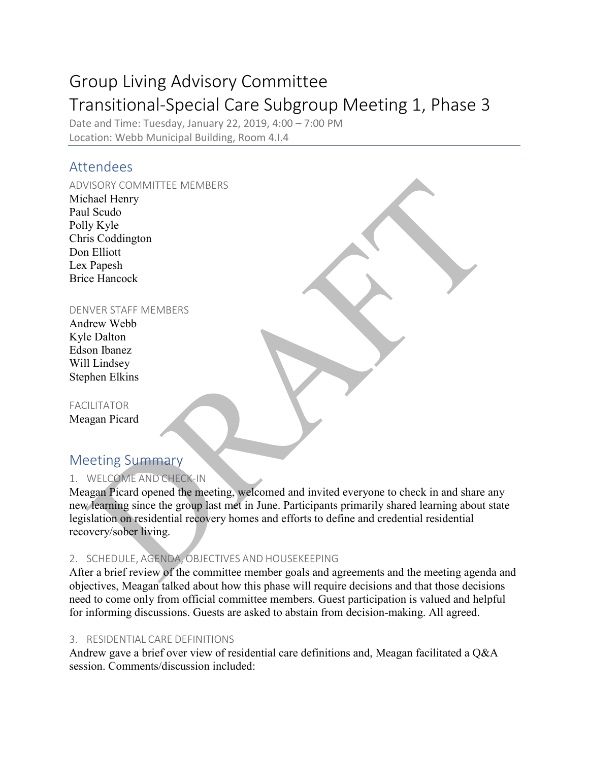# Group Living Advisory Committee Transitional-Special Care Subgroup Meeting 1, Phase 3

Date and Time: Tuesday, January 22, 2019, 4:00 – 7:00 PM Location: Webb Municipal Building, Room 4.I.4

# Attendees

#### ADVISORY COMMITTEE MEMBERS

Michael Henry Paul Scudo Polly Kyle Chris Coddington Don Elliott Lex Papesh Brice Hancock

### DENVER STAFF MEMBERS

Andrew Webb Kyle Dalton Edson Ibanez Will Lindsey Stephen Elkins

FACILITATOR Meagan Picard

# Meeting Summary

# 1. WELCOME AND CHECK-IN

Meagan Picard opened the meeting, welcomed and invited everyone to check in and share any new learning since the group last met in June. Participants primarily shared learning about state legislation on residential recovery homes and efforts to define and credential residential recovery/sober living.

# 2. SCHEDULE, AGENDA, OBJECTIVES AND HOUSEKEEPING

After a brief review of the committee member goals and agreements and the meeting agenda and objectives, Meagan talked about how this phase will require decisions and that those decisions need to come only from official committee members. Guest participation is valued and helpful for informing discussions. Guests are asked to abstain from decision-making. All agreed.

## 3. RESIDENTIAL CARE DEFINITIONS

Andrew gave a brief over view of residential care definitions and, Meagan facilitated a Q&A session. Comments/discussion included: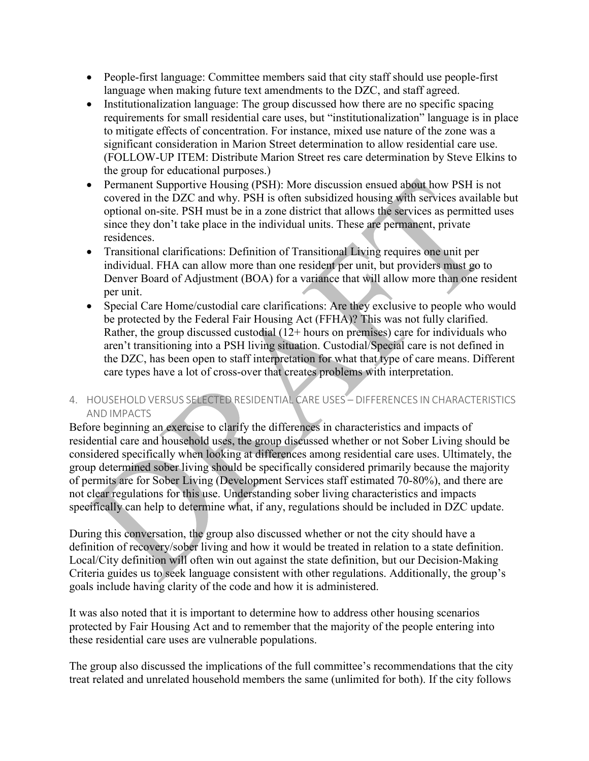- People-first language: Committee members said that city staff should use people-first language when making future text amendments to the DZC, and staff agreed.
- Institutionalization language: The group discussed how there are no specific spacing requirements for small residential care uses, but "institutionalization" language is in place to mitigate effects of concentration. For instance, mixed use nature of the zone was a significant consideration in Marion Street determination to allow residential care use. (FOLLOW-UP ITEM: Distribute Marion Street res care determination by Steve Elkins to the group for educational purposes.)
- Permanent Supportive Housing (PSH): More discussion ensued about how PSH is not covered in the DZC and why. PSH is often subsidized housing with services available but optional on-site. PSH must be in a zone district that allows the services as permitted uses since they don't take place in the individual units. These are permanent, private residences.
- Transitional clarifications: Definition of Transitional Living requires one unit per individual. FHA can allow more than one resident per unit, but providers must go to Denver Board of Adjustment (BOA) for a variance that will allow more than one resident per unit.
- Special Care Home/custodial care clarifications: Are they exclusive to people who would be protected by the Federal Fair Housing Act (FFHA)? This was not fully clarified. Rather, the group discussed custodial (12+ hours on premises) care for individuals who aren't transitioning into a PSH living situation. Custodial/Special care is not defined in the DZC, has been open to staff interpretation for what that type of care means. Different care types have a lot of cross-over that creates problems with interpretation.

### 4. HOUSEHOLD VERSUS SELECTED RESIDENTIAL CARE USES – DIFFERENCES IN CHARACTERISTICS AND IMPACTS

Before beginning an exercise to clarify the differences in characteristics and impacts of residential care and household uses, the group discussed whether or not Sober Living should be considered specifically when looking at differences among residential care uses. Ultimately, the group determined sober living should be specifically considered primarily because the majority of permits are for Sober Living (Development Services staff estimated 70-80%), and there are not clear regulations for this use. Understanding sober living characteristics and impacts specifically can help to determine what, if any, regulations should be included in DZC update.

During this conversation, the group also discussed whether or not the city should have a definition of recovery/sober living and how it would be treated in relation to a state definition. Local/City definition will often win out against the state definition, but our Decision-Making Criteria guides us to seek language consistent with other regulations. Additionally, the group's goals include having clarity of the code and how it is administered.

It was also noted that it is important to determine how to address other housing scenarios protected by Fair Housing Act and to remember that the majority of the people entering into these residential care uses are vulnerable populations.

The group also discussed the implications of the full committee's recommendations that the city treat related and unrelated household members the same (unlimited for both). If the city follows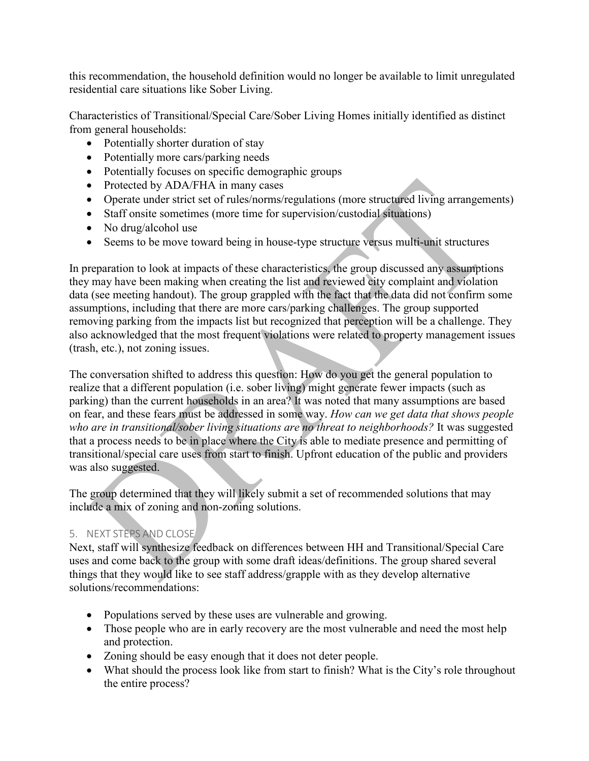this recommendation, the household definition would no longer be available to limit unregulated residential care situations like Sober Living.

Characteristics of Transitional/Special Care/Sober Living Homes initially identified as distinct from general households:

- Potentially shorter duration of stay
- Potentially more cars/parking needs
- Potentially focuses on specific demographic groups
- Protected by ADA/FHA in many cases
- Operate under strict set of rules/norms/regulations (more structured living arrangements)
- Staff onsite sometimes (more time for supervision/custodial situations)
- No drug/alcohol use
- Seems to be move toward being in house-type structure versus multi-unit structures

In preparation to look at impacts of these characteristics, the group discussed any assumptions they may have been making when creating the list and reviewed city complaint and violation data (see meeting handout). The group grappled with the fact that the data did not confirm some assumptions, including that there are more cars/parking challenges. The group supported removing parking from the impacts list but recognized that perception will be a challenge. They also acknowledged that the most frequent violations were related to property management issues (trash, etc.), not zoning issues.

The conversation shifted to address this question: How do you get the general population to realize that a different population (i.e. sober living) might generate fewer impacts (such as parking) than the current households in an area? It was noted that many assumptions are based on fear, and these fears must be addressed in some way. *How can we get data that shows people who are in transitional/sober living situations are no threat to neighborhoods?* It was suggested that a process needs to be in place where the City is able to mediate presence and permitting of transitional/special care uses from start to finish. Upfront education of the public and providers was also suggested.

The group determined that they will likely submit a set of recommended solutions that may include a mix of zoning and non-zoning solutions.

## 5. NEXT STEPS AND CLOSE

Next, staff will synthesize feedback on differences between HH and Transitional/Special Care uses and come back to the group with some draft ideas/definitions. The group shared several things that they would like to see staff address/grapple with as they develop alternative solutions/recommendations:

- Populations served by these uses are vulnerable and growing.
- Those people who are in early recovery are the most vulnerable and need the most help and protection.
- Zoning should be easy enough that it does not deter people.
- What should the process look like from start to finish? What is the City's role throughout the entire process?